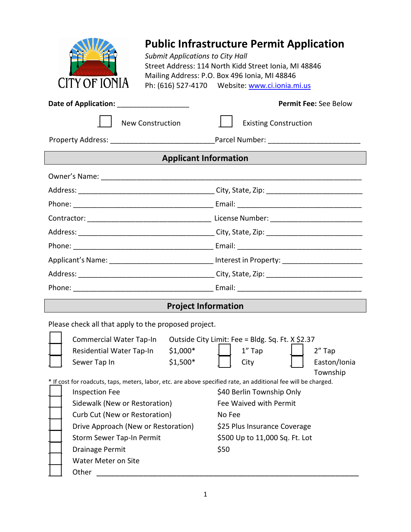

## **Public Infrastructure Permit Application**

*Submit Applications to City Hall* Street Address: 114 North Kidd Street Ionia, MI 48846 Mailing Address: P.O. Box 496 Ionia, MI 48846 Ph: (616) 527-4170 Website: [www.ci.ionia.mi.us](http://www.ci.ionia.mi.us/)

|                                                                                                                |                              | <b>Permit Fee: See Below</b>                                                                         |  |  |
|----------------------------------------------------------------------------------------------------------------|------------------------------|------------------------------------------------------------------------------------------------------|--|--|
| <b>New Construction</b>                                                                                        |                              | <b>Existing Construction</b>                                                                         |  |  |
|                                                                                                                |                              |                                                                                                      |  |  |
|                                                                                                                | <b>Applicant Information</b> |                                                                                                      |  |  |
|                                                                                                                |                              |                                                                                                      |  |  |
|                                                                                                                |                              |                                                                                                      |  |  |
|                                                                                                                |                              |                                                                                                      |  |  |
|                                                                                                                |                              |                                                                                                      |  |  |
|                                                                                                                |                              |                                                                                                      |  |  |
|                                                                                                                |                              |                                                                                                      |  |  |
|                                                                                                                |                              | Applicant's Name: _______________________________ Interest in Property: ____________________________ |  |  |
|                                                                                                                |                              |                                                                                                      |  |  |
|                                                                                                                |                              |                                                                                                      |  |  |
|                                                                                                                | <b>Project Information</b>   |                                                                                                      |  |  |
| Please check all that apply to the proposed project.                                                           |                              |                                                                                                      |  |  |
| <b>Commercial Water Tap-In</b>                                                                                 |                              | Outside City Limit: Fee = Bldg. Sq. Ft. X \$2.37                                                     |  |  |
| Residential Water Tap-In                                                                                       | $$1,000*$                    | $1''$ Tap<br>2" Tap                                                                                  |  |  |
| Sewer Tap In                                                                                                   | $$1,500*$                    | Easton/Ionia<br>City<br>Township                                                                     |  |  |
| * If cost for roadcuts, taps, meters, labor, etc. are above specified rate, an additional fee will be charged. |                              |                                                                                                      |  |  |
| <b>Inspection Fee</b>                                                                                          |                              | \$40 Berlin Township Only                                                                            |  |  |
| Sidewalk (New or Restoration)                                                                                  |                              | Fee Waived with Permit                                                                               |  |  |
| Curb Cut (New or Restoration)                                                                                  |                              | No Fee                                                                                               |  |  |

Drive Approach (New or Restoration) \$25 Plus Insurance Coverage

Storm Sewer Tap-In Permit \$500 Up to 11,000 Sq. Ft. Lot

| <b>Drainage Permit</b> | \$50 |
|------------------------|------|
|                        |      |

|  | <b>Water Meter on Site</b> |  |  |
|--|----------------------------|--|--|
|  |                            |  |  |

\_\_\_ Other \_\_\_\_\_\_\_\_\_\_\_\_\_\_\_\_\_\_\_\_\_\_\_\_\_\_\_\_\_\_\_\_\_\_\_\_\_\_\_\_\_\_\_\_\_\_\_\_\_\_\_\_\_\_\_\_

1